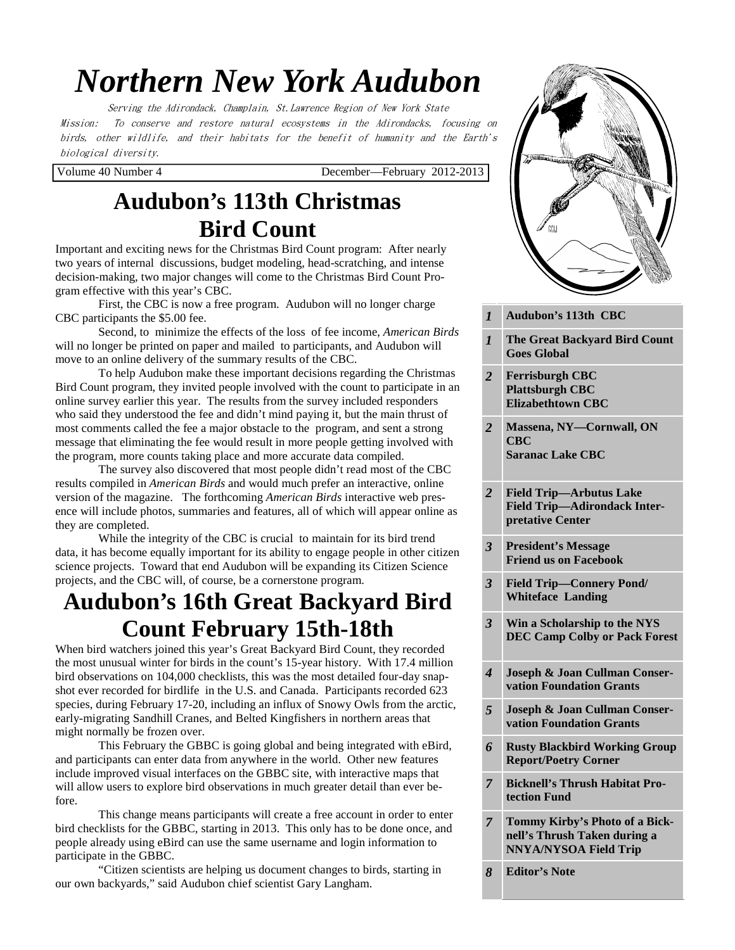# *Northern New York Audubon*

Serving the Adirondack, Champlain, St.Lawrence Region of New York State Mission: To conserve and restore natural ecosystems in the Adirondacks, focusing on birds, other wildlife, and their habitats for the benefit of humanity and the Earth's biological diversity.

Volume 40 Number 4 December—February 2012-2013

# **Audubon's 113th Christmas Bird Count**

Important and exciting news for the Christmas Bird Count program: After nearly two years of internal discussions, budget modeling, head-scratching, and intense decision-making, two major changes will come to the Christmas Bird Count Program effective with this year's CBC.

 First, the CBC is now a free program. Audubon will no longer charge CBC participants the \$5.00 fee.

 Second, to minimize the effects of the loss of fee income, *American Birds*  will no longer be printed on paper and mailed to participants, and Audubon will move to an online delivery of the summary results of the CBC.

 To help Audubon make these important decisions regarding the Christmas Bird Count program, they invited people involved with the count to participate in an online survey earlier this year. The results from the survey included responders who said they understood the fee and didn't mind paying it, but the main thrust of most comments called the fee a major obstacle to the program, and sent a strong message that eliminating the fee would result in more people getting involved with the program, more counts taking place and more accurate data compiled.

 The survey also discovered that most people didn't read most of the CBC results compiled in *American Birds* and would much prefer an interactive, online version of the magazine. The forthcoming *American Birds* interactive web presence will include photos, summaries and features, all of which will appear online as they are completed.

 While the integrity of the CBC is crucial to maintain for its bird trend data, it has become equally important for its ability to engage people in other citizen science projects. Toward that end Audubon will be expanding its Citizen Science projects, and the CBC will, of course, be a cornerstone program.

# **Audubon's 16th Great Backyard Bird Count February 15th-18th**

When bird watchers joined this year's Great Backyard Bird Count, they recorded the most unusual winter for birds in the count's 15-year history. With 17.4 million bird observations on 104,000 checklists, this was the most detailed four-day snapshot ever recorded for birdlife in the U.S. and Canada. Participants recorded 623 species, during February 17-20, including an influx of Snowy Owls from the arctic, early-migrating Sandhill Cranes, and Belted Kingfishers in northern areas that might normally be frozen over.

 This February the GBBC is going global and being integrated with eBird, and participants can enter data from anywhere in the world. Other new features include improved visual interfaces on the GBBC site, with interactive maps that will allow users to explore bird observations in much greater detail than ever before.

 This change means participants will create a free account in order to enter bird checklists for the GBBC, starting in 2013. This only has to be done once, and people already using eBird can use the same username and login information to participate in the GBBC.

 "Citizen scientists are helping us document changes to birds, starting in our own backyards," said Audubon chief scientist Gary Langham.



*1* **Audubon's 113th CBC** 

- *1* **The Great Backyard Bird Count 2** *2 <b><i>2 2 <b><i>2 2 2 2 2 2 2 2 2 2***</del> <b>***2 2* **Goes Global**
- **Coon Mountain**  *2* **Ferrisburgh CBC 2 <b>***Z ZEROBETHTOWN CBC* **Plattsburgh CBC**

*2* **Ausable Marsh** 

- 2 **Massena, NY—Cornwall, ON (St. Lawrence County) CBC Saranac Lake CBC**
- 2 **Prield Trip—Arbutus Lake 3 <b>Pretative Center** *Auto* Service *Pretative Center <b>Auto* **Field Trip—Adirondack Inter-**
- *3* **President's Message <b>Email President Friend us on Facebook**
- 3 **Field Trip—Connery Pond/ 3 11** *NABA***<sup>1</sup> <b>2011 201 Whiteface Landing**
- **Butterfly Count**  *3* **Win a Scholarship to the NYS PEC Camp Colby or Pack Forest**

**Change on High Elevation Forests** 

- *5* **Bigger & Joan Cullman Conservation Foundation Grants**
- *5* **<b>Joseph & Joan Cullman Conservation Foundation Grants**
- *6* **Rusty Blackbird Working Group Report/Poetry Corner**
- **7** Bicknell's Thrush Habitat Pro**tection Fund**
- *8* **Editor's Note**  *7* **Tommy Kirby's Photo of a Bicknell's Thrush Taken during a NNYA/NYSOA Field Trip**
- *8* **Editor's Note**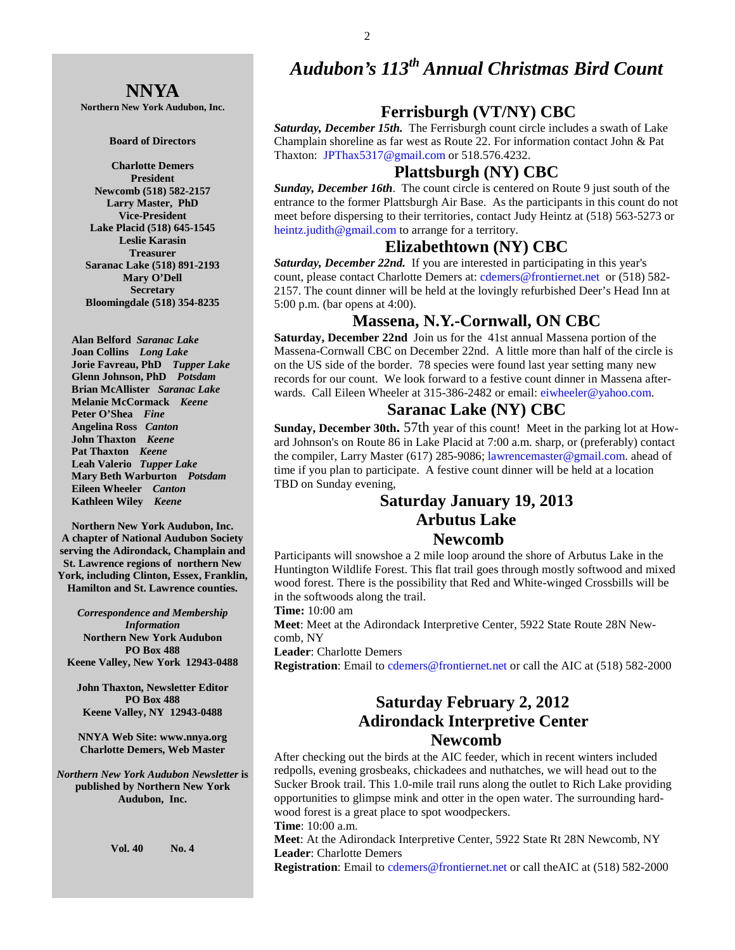# *Audubon's 113th Annual Christmas Bird Count*

# **Ferrisburgh (VT/NY) CBC**

*Saturday, December 15th.* The Ferrisburgh count circle includes a swath of Lake Champlain shoreline as far west as Route 22. For information contact John & Pat Thaxton: JPThax5317@gmail.com or 518.576.4232.

# **Plattsburgh (NY) CBC**

*Sunday, December 16th*. The count circle is centered on Route 9 just south of the entrance to the former Plattsburgh Air Base. As the participants in this count do not meet before dispersing to their territories, contact Judy Heintz at (518) 563-5273 or heintz.judith@gmail.com to arrange for a territory.

# **Elizabethtown (NY) CBC**

*Saturday, December 22nd.* If you are interested in participating in this year's count, please contact Charlotte Demers at: cdemers@frontiernet.net or (518) 582-2157. The count dinner will be held at the lovingly refurbished Deer's Head Inn at 5:00 p.m. (bar opens at 4:00).

# **Massena, N.Y.-Cornwall, ON CBC**

**Saturday, December 22nd** Join us for the 41st annual Massena portion of the Massena-Cornwall CBC on December 22nd. A little more than half of the circle is on the US side of the border. 78 species were found last year setting many new records for our count. We look forward to a festive count dinner in Massena afterwards. Call Eileen Wheeler at 315-386-2482 or email: eiwheeler@yahoo.com.

#### **Saranac Lake (NY) CBC**

**Sunday, December 30th.** 57th year of this count! Meet in the parking lot at Howard Johnson's on Route 86 in Lake Placid at 7:00 a.m. sharp, or (preferably) contact the compiler, Larry Master (617) 285-9086; lawrencemaster@gmail.com. ahead of time if you plan to participate. A festive count dinner will be held at a location TBD on Sunday evening,

# **Saturday January 19, 2013 Arbutus Lake Newcomb**

Participants will snowshoe a 2 mile loop around the shore of Arbutus Lake in the Huntington Wildlife Forest. This flat trail goes through mostly softwood and mixed wood forest. There is the possibility that Red and White-winged Crossbills will be in the softwoods along the trail.

**Time:** 10:00 am

**Meet**: Meet at the Adirondack Interpretive Center, 5922 State Route 28N Newcomb, NY

**Leader**: Charlotte Demers

**Registration**: Email to cdemers@frontiernet.net or call the AIC at (518) 582-2000

# **Saturday February 2, 2012 Adirondack Interpretive Center Newcomb**

After checking out the birds at the AIC feeder, which in recent winters included redpolls, evening grosbeaks, chickadees and nuthatches, we will head out to the Sucker Brook trail. This 1.0-mile trail runs along the outlet to Rich Lake providing opportunities to glimpse mink and otter in the open water. The surrounding hardwood forest is a great place to spot woodpeckers.

**Time**: 10:00 a.m.

**Meet**: At the Adirondack Interpretive Center, 5922 State Rt 28N Newcomb, NY **Leader**: Charlotte Demers

**Registration**: Email to cdemers@frontiernet.net or call theAIC at (518) 582-2000

# **NNYA**

**Northern New York Audubon, Inc.** 

#### **Board of Directors**

**Charlotte Demers President Newcomb (518) 582-2157 Larry Master, PhD Vice-President Lake Placid (518) 645-1545 Leslie Karasin Treasurer Saranac Lake (518) 891-2193 Mary O'Dell Secretary Bloomingdale (518) 354-8235** 

 **Alan Belford** *Saranac Lake*  **Joan Collins** *Long Lake*   **Jorie Favreau, PhD** *Tupper Lake*  **Glenn Johnson, PhD** *Potsdam*   **Brian McAllister** *Saranac Lake*   **Melanie McCormack** *Keene*   **Peter O'Shea** *Fine*   **Angelina Ross** *Canton* **John Thaxton** *Keene* **Pat Thaxton** *Keene* **Leah Valerio** *Tupper Lake*   **Mary Beth Warburton** *Potsdam*   **Eileen Wheeler** *Canton* **Kathleen Wiley** *Keene* 

**Northern New York Audubon, Inc. A chapter of National Audubon Society serving the Adirondack, Champlain and St. Lawrence regions of northern New York, including Clinton, Essex, Franklin, Hamilton and St. Lawrence counties.** 

*Correspondence and Membership Information* **Northern New York Audubon PO Box 488 Keene Valley, New York 12943-0488** 

**John Thaxton, Newsletter Editor PO Box 488 Keene Valley, NY 12943-0488** 

**NNYA Web Site: www.nnya.org Charlotte Demers, Web Master**

*Northern New York Audubon Newsletter* **is published by Northern New York Audubon, Inc.** 

**Vol. 40 No. 4**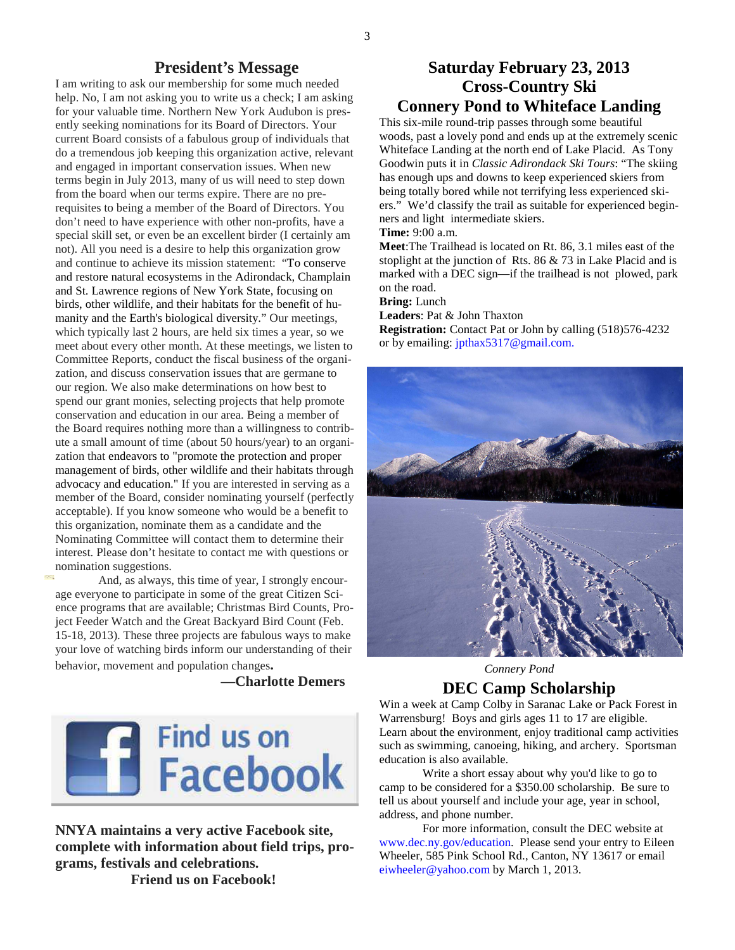## **President's Message**

I am writing to ask our membership for some much needed help. No, I am not asking you to write us a check; I am asking for your valuable time. Northern New York Audubon is presently seeking nominations for its Board of Directors. Your current Board consists of a fabulous group of individuals that do a tremendous job keeping this organization active, relevant and engaged in important conservation issues. When new terms begin in July 2013, many of us will need to step down from the board when our terms expire. There are no prerequisites to being a member of the Board of Directors. You don't need to have experience with other non-profits, have a special skill set, or even be an excellent birder (I certainly am not). All you need is a desire to help this organization grow and continue to achieve its mission statement: "To conserve and restore natural ecosystems in the Adirondack, Champlain and St. Lawrence regions of New York State, focusing on birds, other wildlife, and their habitats for the benefit of humanity and the Earth's biological diversity." Our meetings, which typically last 2 hours, are held six times a year, so we meet about every other month. At these meetings, we listen to Committee Reports, conduct the fiscal business of the organization, and discuss conservation issues that are germane to our region. We also make determinations on how best to spend our grant monies, selecting projects that help promote conservation and education in our area. Being a member of the Board requires nothing more than a willingness to contribute a small amount of time (about 50 hours/year) to an organization that endeavors to "promote the protection and proper management of birds, other wildlife and their habitats through advocacy and education." If you are interested in serving as a member of the Board, consider nominating yourself (perfectly acceptable). If you know someone who would be a benefit to this organization, nominate them as a candidate and the Nominating Committee will contact them to determine their interest. Please don't hesitate to contact me with questions or nomination suggestions.

 And, as always, this time of year, I strongly encourage everyone to participate in some of the great Citizen Science programs that are available; Christmas Bird Counts, Project Feeder Watch and the Great Backyard Bird Count (Feb. 15-18, 2013). These three projects are fabulous ways to make your love of watching birds inform our understanding of their behavior, movement and population changes**.** 

#### **—Charlotte Demers**



**NNYA maintains a very active Facebook site, complete with information about field trips, programs, festivals and celebrations.** 

 **Friend us on Facebook!** 

# **Saturday February 23, 2013 Cross-Country Ski Connery Pond to Whiteface Landing**

This six-mile round-trip passes through some beautiful woods, past a lovely pond and ends up at the extremely scenic Whiteface Landing at the north end of Lake Placid. As Tony Goodwin puts it in *Classic Adirondack Ski Tours*: "The skiing has enough ups and downs to keep experienced skiers from being totally bored while not terrifying less experienced skiers." We'd classify the trail as suitable for experienced beginners and light intermediate skiers.

**Time:** 9:00 a.m.

**Meet**:The Trailhead is located on Rt. 86, 3.1 miles east of the stoplight at the junction of Rts. 86 & 73 in Lake Placid and is marked with a DEC sign—if the trailhead is not plowed, park on the road.

**Bring:** Lunch

**Leaders**: Pat & John Thaxton

**Registration:** Contact Pat or John by calling (518)576-4232 or by emailing: jpthax5317@gmail.com.



*Connery Pond* 

# **DEC Camp Scholarship**

Win a week at Camp Colby in Saranac Lake or Pack Forest in Warrensburg! Boys and girls ages 11 to 17 are eligible. Learn about the environment, enjoy traditional camp activities such as swimming, canoeing, hiking, and archery. Sportsman education is also available.

 Write a short essay about why you'd like to go to camp to be considered for a \$350.00 scholarship. Be sure to tell us about yourself and include your age, year in school, address, and phone number.

 For more information, consult the DEC website at www.dec.ny.gov/education. Please send your entry to Eileen Wheeler, 585 Pink School Rd., Canton, NY 13617 or email eiwheeler@yahoo.com by March 1, 2013.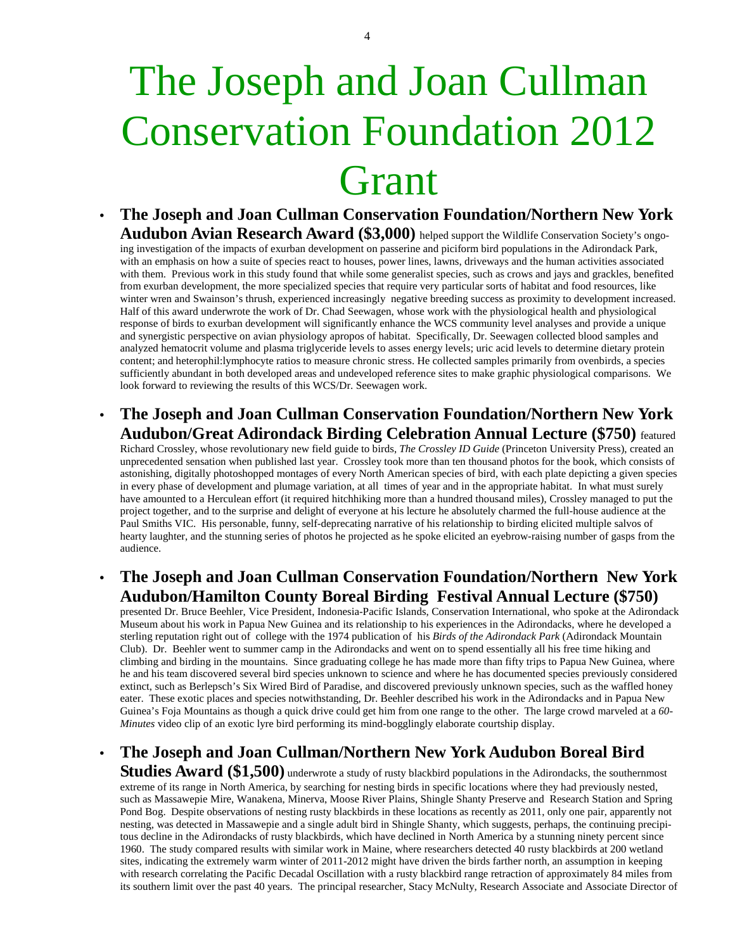# The Joseph and Joan Cullman Conservation Foundation 2012 Grant

- **The Joseph and Joan Cullman Conservation Foundation/Northern New York Audubon Avian Research Award (\$3,000)** helped support the Wildlife Conservation Society's ongoing investigation of the impacts of exurban development on passerine and piciform bird populations in the Adirondack Park, with an emphasis on how a suite of species react to houses, power lines, lawns, driveways and the human activities associated with them. Previous work in this study found that while some generalist species, such as crows and jays and grackles, benefited from exurban development, the more specialized species that require very particular sorts of habitat and food resources, like winter wren and Swainson's thrush, experienced increasingly negative breeding success as proximity to development increased. Half of this award underwrote the work of Dr. Chad Seewagen, whose work with the physiological health and physiological response of birds to exurban development will significantly enhance the WCS community level analyses and provide a unique and synergistic perspective on avian physiology apropos of habitat. Specifically, Dr. Seewagen collected blood samples and analyzed hematocrit volume and plasma triglyceride levels to asses energy levels; uric acid levels to determine dietary protein content; and heterophil:lymphocyte ratios to measure chronic stress. He collected samples primarily from ovenbirds, a species sufficiently abundant in both developed areas and undeveloped reference sites to make graphic physiological comparisons. We look forward to reviewing the results of this WCS/Dr. Seewagen work.
- **The Joseph and Joan Cullman Conservation Foundation/Northern New York Audubon/Great Adirondack Birding Celebration Annual Lecture (\$750)** featured

Richard Crossley, whose revolutionary new field guide to birds, *The Crossley ID Guide* (Princeton University Press), created an unprecedented sensation when published last year. Crossley took more than ten thousand photos for the book, which consists of astonishing, digitally photoshopped montages of every North American species of bird, with each plate depicting a given species in every phase of development and plumage variation, at all times of year and in the appropriate habitat. In what must surely have amounted to a Herculean effort (it required hitchhiking more than a hundred thousand miles), Crossley managed to put the project together, and to the surprise and delight of everyone at his lecture he absolutely charmed the full-house audience at the Paul Smiths VIC. His personable, funny, self-deprecating narrative of his relationship to birding elicited multiple salvos of hearty laughter, and the stunning series of photos he projected as he spoke elicited an eyebrow-raising number of gasps from the audience.

• **The Joseph and Joan Cullman Conservation Foundation/Northern New York Audubon/Hamilton County Boreal Birding Festival Annual Lecture (\$750)**

presented Dr. Bruce Beehler, Vice President, Indonesia-Pacific Islands, Conservation International, who spoke at the Adirondack Museum about his work in Papua New Guinea and its relationship to his experiences in the Adirondacks, where he developed a sterling reputation right out of college with the 1974 publication of his *Birds of the Adirondack Park* (Adirondack Mountain Club). Dr. Beehler went to summer camp in the Adirondacks and went on to spend essentially all his free time hiking and climbing and birding in the mountains. Since graduating college he has made more than fifty trips to Papua New Guinea, where he and his team discovered several bird species unknown to science and where he has documented species previously considered extinct, such as Berlepsch's Six Wired Bird of Paradise, and discovered previously unknown species, such as the waffled honey eater. These exotic places and species notwithstanding, Dr. Beehler described his work in the Adirondacks and in Papua New Guinea's Foja Mountains as though a quick drive could get him from one range to the other. The large crowd marveled at a *60- Minutes* video clip of an exotic lyre bird performing its mind-bogglingly elaborate courtship display.

• **The Joseph and Joan Cullman/Northern New York Audubon Boreal Bird** 

**Studies Award (\$1,500)** underwrote a study of rusty blackbird populations in the Adirondacks, the southernmost extreme of its range in North America, by searching for nesting birds in specific locations where they had previously nested, such as Massawepie Mire, Wanakena, Minerva, Moose River Plains, Shingle Shanty Preserve and Research Station and Spring Pond Bog. Despite observations of nesting rusty blackbirds in these locations as recently as 2011, only one pair, apparently not nesting, was detected in Massawepie and a single adult bird in Shingle Shanty, which suggests, perhaps, the continuing precipitous decline in the Adirondacks of rusty blackbirds, which have declined in North America by a stunning ninety percent since 1960. The study compared results with similar work in Maine, where researchers detected 40 rusty blackbirds at 200 wetland sites, indicating the extremely warm winter of 2011-2012 might have driven the birds farther north, an assumption in keeping with research correlating the Pacific Decadal Oscillation with a rusty blackbird range retraction of approximately 84 miles from its southern limit over the past 40 years. The principal researcher, Stacy McNulty, Research Associate and Associate Director of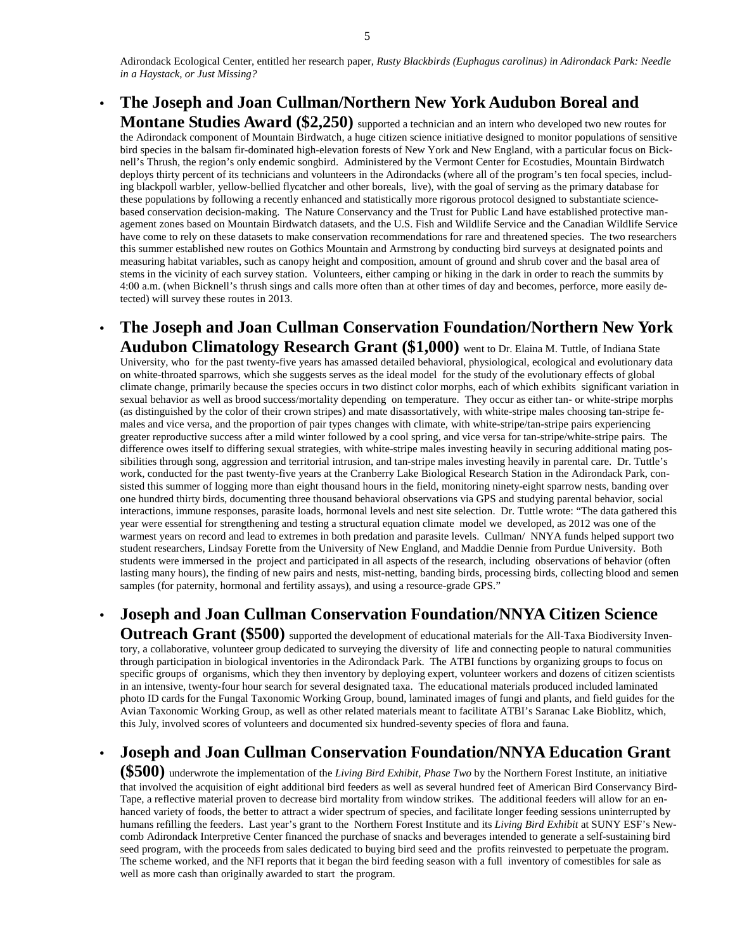Adirondack Ecological Center, entitled her research paper, *Rusty Blackbirds (Euphagus carolinus) in Adirondack Park: Needle in a Haystack, or Just Missing?* 

• **The Joseph and Joan Cullman/Northern New York Audubon Boreal and** 

**Montane Studies Award (\$2,250)** supported a technician and an intern who developed two new routes for the Adirondack component of Mountain Birdwatch, a huge citizen science initiative designed to monitor populations of sensitive bird species in the balsam fir-dominated high-elevation forests of New York and New England, with a particular focus on Bicknell's Thrush, the region's only endemic songbird. Administered by the Vermont Center for Ecostudies, Mountain Birdwatch deploys thirty percent of its technicians and volunteers in the Adirondacks (where all of the program's ten focal species, including blackpoll warbler, yellow-bellied flycatcher and other boreals, live), with the goal of serving as the primary database for these populations by following a recently enhanced and statistically more rigorous protocol designed to substantiate sciencebased conservation decision-making. The Nature Conservancy and the Trust for Public Land have established protective management zones based on Mountain Birdwatch datasets, and the U.S. Fish and Wildlife Service and the Canadian Wildlife Service have come to rely on these datasets to make conservation recommendations for rare and threatened species. The two researchers this summer established new routes on Gothics Mountain and Armstrong by conducting bird surveys at designated points and measuring habitat variables, such as canopy height and composition, amount of ground and shrub cover and the basal area of stems in the vicinity of each survey station. Volunteers, either camping or hiking in the dark in order to reach the summits by 4:00 a.m. (when Bicknell's thrush sings and calls more often than at other times of day and becomes, perforce, more easily detected) will survey these routes in 2013.

• **The Joseph and Joan Cullman Conservation Foundation/Northern New York Audubon Climatology Research Grant (\$1,000)** went to Dr. Elaina M. Tuttle, of Indiana State

University, who for the past twenty-five years has amassed detailed behavioral, physiological, ecological and evolutionary data on white-throated sparrows, which she suggests serves as the ideal model for the study of the evolutionary effects of global climate change, primarily because the species occurs in two distinct color morphs, each of which exhibits significant variation in sexual behavior as well as brood success/mortality depending on temperature. They occur as either tan- or white-stripe morphs (as distinguished by the color of their crown stripes) and mate disassortatively, with white-stripe males choosing tan-stripe females and vice versa, and the proportion of pair types changes with climate, with white-stripe/tan-stripe pairs experiencing greater reproductive success after a mild winter followed by a cool spring, and vice versa for tan-stripe/white-stripe pairs. The difference owes itself to differing sexual strategies, with white-stripe males investing heavily in securing additional mating possibilities through song, aggression and territorial intrusion, and tan-stripe males investing heavily in parental care. Dr. Tuttle's work, conducted for the past twenty-five years at the Cranberry Lake Biological Research Station in the Adirondack Park, consisted this summer of logging more than eight thousand hours in the field, monitoring ninety-eight sparrow nests, banding over one hundred thirty birds, documenting three thousand behavioral observations via GPS and studying parental behavior, social interactions, immune responses, parasite loads, hormonal levels and nest site selection. Dr. Tuttle wrote: "The data gathered this year were essential for strengthening and testing a structural equation climate model we developed, as 2012 was one of the warmest years on record and lead to extremes in both predation and parasite levels. Cullman/ NNYA funds helped support two student researchers, Lindsay Forette from the University of New England, and Maddie Dennie from Purdue University. Both students were immersed in the project and participated in all aspects of the research, including observations of behavior (often lasting many hours), the finding of new pairs and nests, mist-netting, banding birds, processing birds, collecting blood and semen samples (for paternity, hormonal and fertility assays), and using a resource-grade GPS."

• **Joseph and Joan Cullman Conservation Foundation/NNYA Citizen Science** 

**Outreach Grant (\$500)** supported the development of educational materials for the All-Taxa Biodiversity Inventory, a collaborative, volunteer group dedicated to surveying the diversity of life and connecting people to natural communities through participation in biological inventories in the Adirondack Park. The ATBI functions by organizing groups to focus on specific groups of organisms, which they then inventory by deploying expert, volunteer workers and dozens of citizen scientists in an intensive, twenty-four hour search for several designated taxa. The educational materials produced included laminated photo ID cards for the Fungal Taxonomic Working Group, bound, laminated images of fungi and plants, and field guides for the Avian Taxonomic Working Group, as well as other related materials meant to facilitate ATBI's Saranac Lake Bioblitz, which, this July, involved scores of volunteers and documented six hundred-seventy species of flora and fauna.

# • **Joseph and Joan Cullman Conservation Foundation/NNYA Education Grant**

**(\$500)** underwrote the implementation of the *Living Bird Exhibit, Phase Two* by the Northern Forest Institute, an initiative that involved the acquisition of eight additional bird feeders as well as several hundred feet of American Bird Conservancy Bird-Tape, a reflective material proven to decrease bird mortality from window strikes. The additional feeders will allow for an enhanced variety of foods, the better to attract a wider spectrum of species, and facilitate longer feeding sessions uninterrupted by humans refilling the feeders. Last year's grant to the Northern Forest Institute and its *Living Bird Exhibit* at SUNY ESF's Newcomb Adirondack Interpretive Center financed the purchase of snacks and beverages intended to generate a self-sustaining bird seed program, with the proceeds from sales dedicated to buying bird seed and the profits reinvested to perpetuate the program. The scheme worked, and the NFI reports that it began the bird feeding season with a full inventory of comestibles for sale as well as more cash than originally awarded to start the program.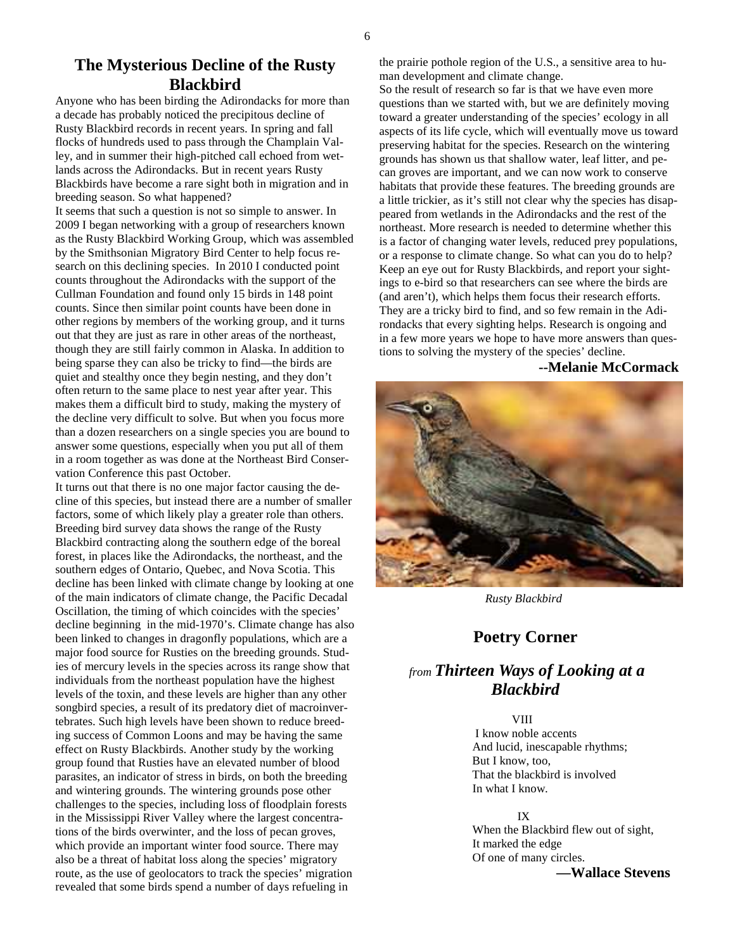# **The Mysterious Decline of the Rusty Blackbird**

Anyone who has been birding the Adirondacks for more than a decade has probably noticed the precipitous decline of Rusty Blackbird records in recent years. In spring and fall flocks of hundreds used to pass through the Champlain Valley, and in summer their high-pitched call echoed from wetlands across the Adirondacks. But in recent years Rusty Blackbirds have become a rare sight both in migration and in breeding season. So what happened?

It seems that such a question is not so simple to answer. In 2009 I began networking with a group of researchers known as the Rusty Blackbird Working Group, which was assembled by the Smithsonian Migratory Bird Center to help focus research on this declining species. In 2010 I conducted point counts throughout the Adirondacks with the support of the Cullman Foundation and found only 15 birds in 148 point counts. Since then similar point counts have been done in other regions by members of the working group, and it turns out that they are just as rare in other areas of the northeast, though they are still fairly common in Alaska. In addition to being sparse they can also be tricky to find—the birds are quiet and stealthy once they begin nesting, and they don't often return to the same place to nest year after year. This makes them a difficult bird to study, making the mystery of the decline very difficult to solve. But when you focus more than a dozen researchers on a single species you are bound to answer some questions, especially when you put all of them in a room together as was done at the Northeast Bird Conservation Conference this past October.

It turns out that there is no one major factor causing the decline of this species, but instead there are a number of smaller factors, some of which likely play a greater role than others. Breeding bird survey data shows the range of the Rusty Blackbird contracting along the southern edge of the boreal forest, in places like the Adirondacks, the northeast, and the southern edges of Ontario, Quebec, and Nova Scotia. This decline has been linked with climate change by looking at one of the main indicators of climate change, the Pacific Decadal Oscillation, the timing of which coincides with the species' decline beginning in the mid-1970's. Climate change has also been linked to changes in dragonfly populations, which are a major food source for Rusties on the breeding grounds. Studies of mercury levels in the species across its range show that individuals from the northeast population have the highest levels of the toxin, and these levels are higher than any other songbird species, a result of its predatory diet of macroinvertebrates. Such high levels have been shown to reduce breeding success of Common Loons and may be having the same effect on Rusty Blackbirds. Another study by the working group found that Rusties have an elevated number of blood parasites, an indicator of stress in birds, on both the breeding and wintering grounds. The wintering grounds pose other challenges to the species, including loss of floodplain forests in the Mississippi River Valley where the largest concentrations of the birds overwinter, and the loss of pecan groves, which provide an important winter food source. There may also be a threat of habitat loss along the species' migratory route, as the use of geolocators to track the species' migration revealed that some birds spend a number of days refueling in

the prairie pothole region of the U.S., a sensitive area to human development and climate change.

So the result of research so far is that we have even more questions than we started with, but we are definitely moving toward a greater understanding of the species' ecology in all aspects of its life cycle, which will eventually move us toward preserving habitat for the species. Research on the wintering grounds has shown us that shallow water, leaf litter, and pecan groves are important, and we can now work to conserve habitats that provide these features. The breeding grounds are a little trickier, as it's still not clear why the species has disappeared from wetlands in the Adirondacks and the rest of the northeast. More research is needed to determine whether this is a factor of changing water levels, reduced prey populations, or a response to climate change. So what can you do to help? Keep an eye out for Rusty Blackbirds, and report your sightings to e-bird so that researchers can see where the birds are (and aren't), which helps them focus their research efforts. They are a tricky bird to find, and so few remain in the Adirondacks that every sighting helps. Research is ongoing and in a few more years we hope to have more answers than questions to solving the mystery of the species' decline.

#### **--Melanie McCormack**



 *Rusty Blackbird* 

# **Poetry Corner**

# *from Thirteen Ways of Looking at a Blackbird*

#### **VIII**

 I know noble accents And lucid, inescapable rhythms; But I know, too, That the blackbird is involved In what I know.

 IX When the Blackbird flew out of sight, It marked the edge Of one of many circles.

**—Wallace Stevens**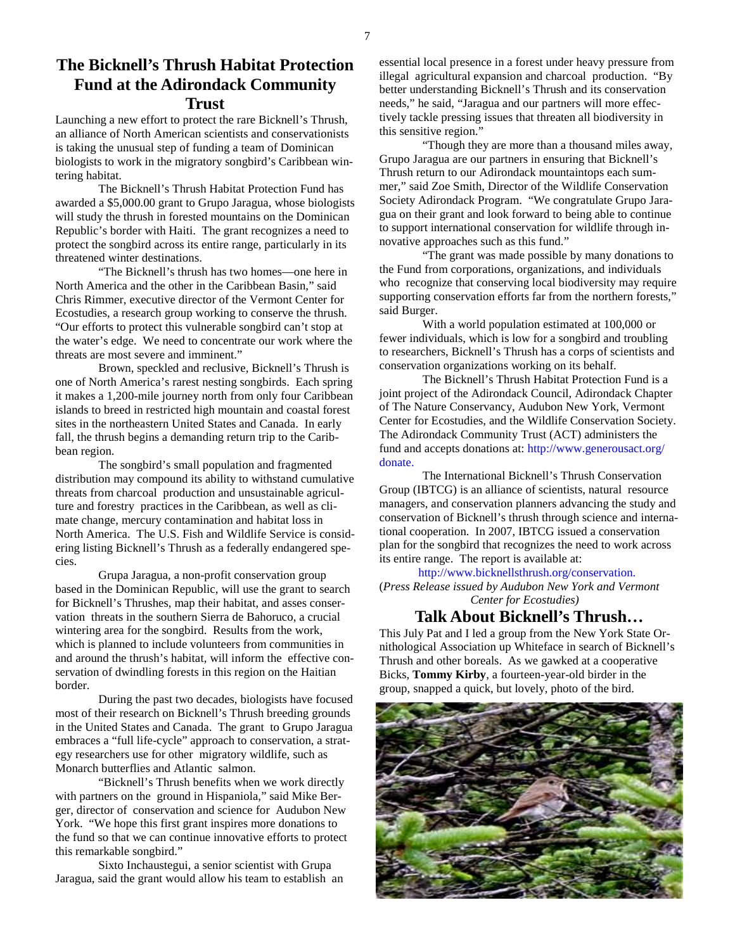# **The Bicknell's Thrush Habitat Protection Fund at the Adirondack Community Trust**

Launching a new effort to protect the rare Bicknell's Thrush, an alliance of North American scientists and conservationists is taking the unusual step of funding a team of Dominican biologists to work in the migratory songbird's Caribbean wintering habitat.

 The Bicknell's Thrush Habitat Protection Fund has awarded a \$5,000.00 grant to Grupo Jaragua, whose biologists will study the thrush in forested mountains on the Dominican Republic's border with Haiti. The grant recognizes a need to protect the songbird across its entire range, particularly in its threatened winter destinations.

 "The Bicknell's thrush has two homes—one here in North America and the other in the Caribbean Basin," said Chris Rimmer, executive director of the Vermont Center for Ecostudies, a research group working to conserve the thrush. "Our efforts to protect this vulnerable songbird can't stop at the water's edge. We need to concentrate our work where the threats are most severe and imminent."

 Brown, speckled and reclusive, Bicknell's Thrush is one of North America's rarest nesting songbirds. Each spring it makes a 1,200-mile journey north from only four Caribbean islands to breed in restricted high mountain and coastal forest sites in the northeastern United States and Canada. In early fall, the thrush begins a demanding return trip to the Caribbean region.

 The songbird's small population and fragmented distribution may compound its ability to withstand cumulative threats from charcoal production and unsustainable agriculture and forestry practices in the Caribbean, as well as climate change, mercury contamination and habitat loss in North America. The U.S. Fish and Wildlife Service is considering listing Bicknell's Thrush as a federally endangered species.

 Grupa Jaragua, a non-profit conservation group based in the Dominican Republic, will use the grant to search for Bicknell's Thrushes, map their habitat, and asses conservation threats in the southern Sierra de Bahoruco, a crucial wintering area for the songbird. Results from the work, which is planned to include volunteers from communities in and around the thrush's habitat, will inform the effective conservation of dwindling forests in this region on the Haitian border.

 During the past two decades, biologists have focused most of their research on Bicknell's Thrush breeding grounds in the United States and Canada. The grant to Grupo Jaragua embraces a "full life-cycle" approach to conservation, a strategy researchers use for other migratory wildlife, such as Monarch butterflies and Atlantic salmon.

 "Bicknell's Thrush benefits when we work directly with partners on the ground in Hispaniola," said Mike Berger, director of conservation and science for Audubon New York. "We hope this first grant inspires more donations to the fund so that we can continue innovative efforts to protect this remarkable songbird."

 Sixto Inchaustegui, a senior scientist with Grupa Jaragua, said the grant would allow his team to establish an essential local presence in a forest under heavy pressure from illegal agricultural expansion and charcoal production. "By better understanding Bicknell's Thrush and its conservation needs," he said, "Jaragua and our partners will more effectively tackle pressing issues that threaten all biodiversity in this sensitive region."

 "Though they are more than a thousand miles away, Grupo Jaragua are our partners in ensuring that Bicknell's Thrush return to our Adirondack mountaintops each summer," said Zoe Smith, Director of the Wildlife Conservation Society Adirondack Program. "We congratulate Grupo Jaragua on their grant and look forward to being able to continue to support international conservation for wildlife through innovative approaches such as this fund."

 "The grant was made possible by many donations to the Fund from corporations, organizations, and individuals who recognize that conserving local biodiversity may require supporting conservation efforts far from the northern forests," said Burger.

 With a world population estimated at 100,000 or fewer individuals, which is low for a songbird and troubling to researchers, Bicknell's Thrush has a corps of scientists and conservation organizations working on its behalf.

 The Bicknell's Thrush Habitat Protection Fund is a joint project of the Adirondack Council, Adirondack Chapter of The Nature Conservancy, Audubon New York, Vermont Center for Ecostudies, and the Wildlife Conservation Society. The Adirondack Community Trust (ACT) administers the fund and accepts donations at: http://www.generousact.org/ donate.

The International Bicknell's Thrush Conservation Group (IBTCG) is an alliance of scientists, natural resource managers, and conservation planners advancing the study and conservation of Bicknell's thrush through science and international cooperation. In 2007, IBTCG issued a conservation plan for the songbird that recognizes the need to work across its entire range. The report is available at:

http://www.bicknellsthrush.org/conservation.

(*Press Release issued by Audubon New York and Vermont Center for Ecostudies)* 

# **Talk About Bicknell's Thrush…**

This July Pat and I led a group from the New York State Ornithological Association up Whiteface in search of Bicknell's Thrush and other boreals. As we gawked at a cooperative Bicks, **Tommy Kirby**, a fourteen-year-old birder in the group, snapped a quick, but lovely, photo of the bird.